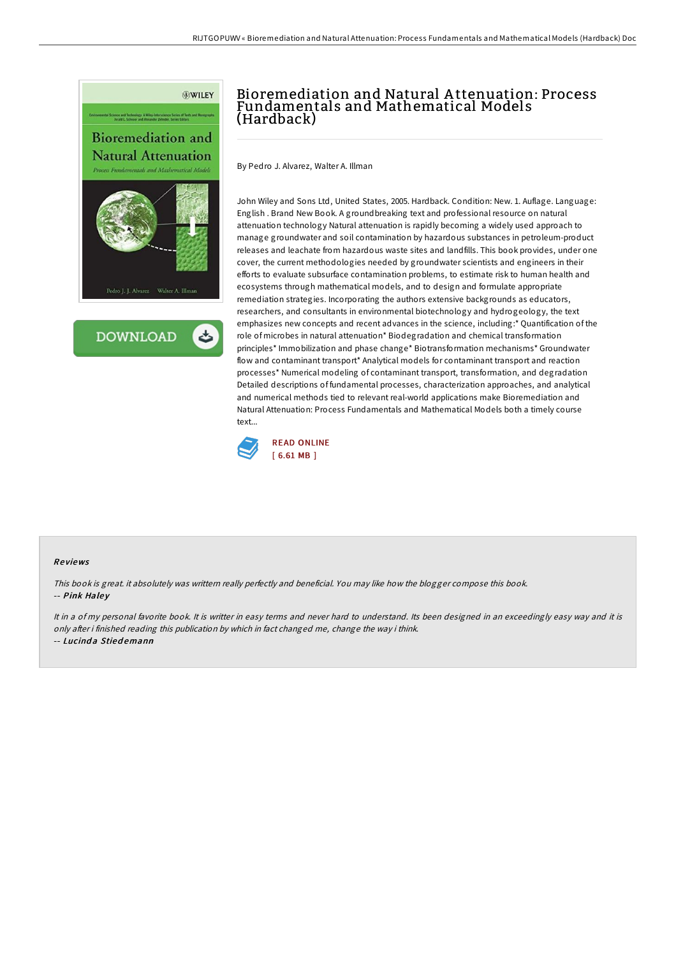



## Bioremediation and Natural A ttenuation: Process Fundamentals and Mathematical Models (Hardback)

By Pedro J. Alvarez, Walter A. Illman

John Wiley and Sons Ltd, United States, 2005. Hardback. Condition: New. 1. Auflage. Language: English . Brand New Book. A groundbreaking text and professional resource on natural attenuation technology Natural attenuation is rapidly becoming a widely used approach to manage groundwater and soil contamination by hazardous substances in petroleum-product releases and leachate from hazardous waste sites and landfills. This book provides, under one cover, the current methodologies needed by groundwater scientists and engineers in their efforts to evaluate subsurface contamination problems, to estimate risk to human health and ecosystems through mathematical models, and to design and formulate appropriate remediation strategies. Incorporating the authors extensive backgrounds as educators, researchers, and consultants in environmental biotechnology and hydrogeology, the text emphasizes new concepts and recent advances in the science, including:\* Quantification of the role of microbes in natural attenuation\* Biodegradation and chemical transformation principles\* Immobilization and phase change\* Biotransformation mechanisms\* Groundwater flow and contaminant transport\* Analytical models for contaminant transport and reaction processes\* Numerical modeling of contaminant transport, transformation, and degradation Detailed descriptions of fundamental processes, characterization approaches, and analytical and numerical methods tied to relevant real-world applications make Bioremediation and Natural Attenuation: Process Fundamentals and Mathematical Models both a timely course text



## Re views

This book is great. it absolutely was writtern really perfectly and beneficial. You may like how the blogger compose this book. -- Pink Haley

It in a of my personal favorite book. It is writter in easy terms and never hard to understand. Its been designed in an exceedingly easy way and it is only after i finished reading this publication by which in fact changed me, change the way i think. -- Lucinda Stiedemann